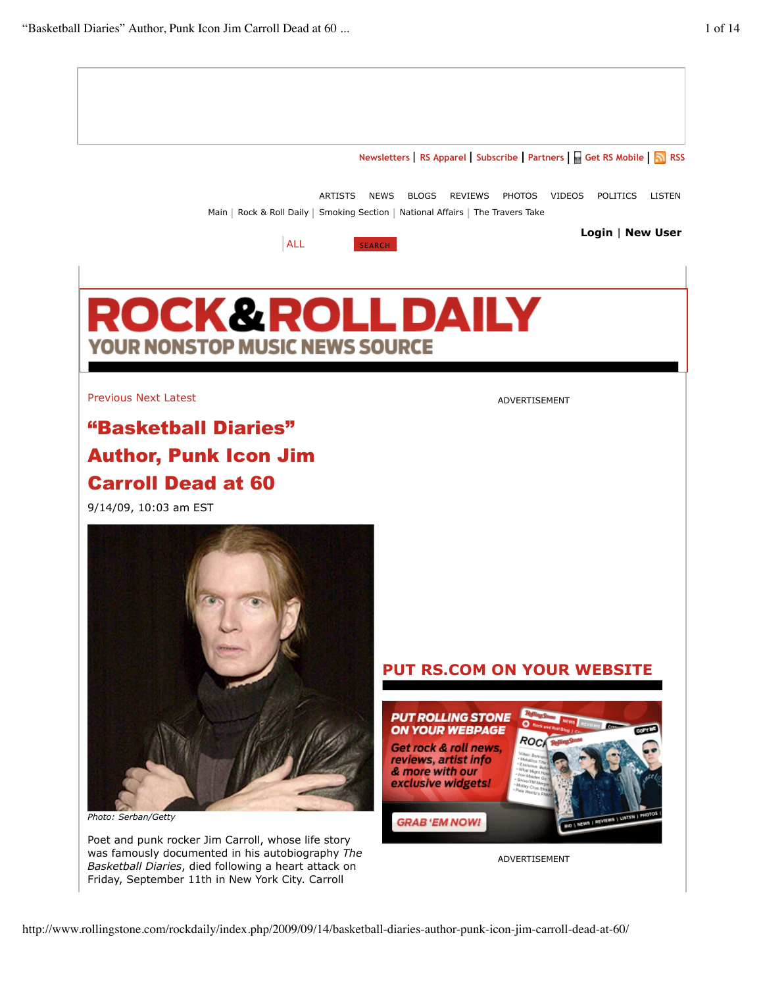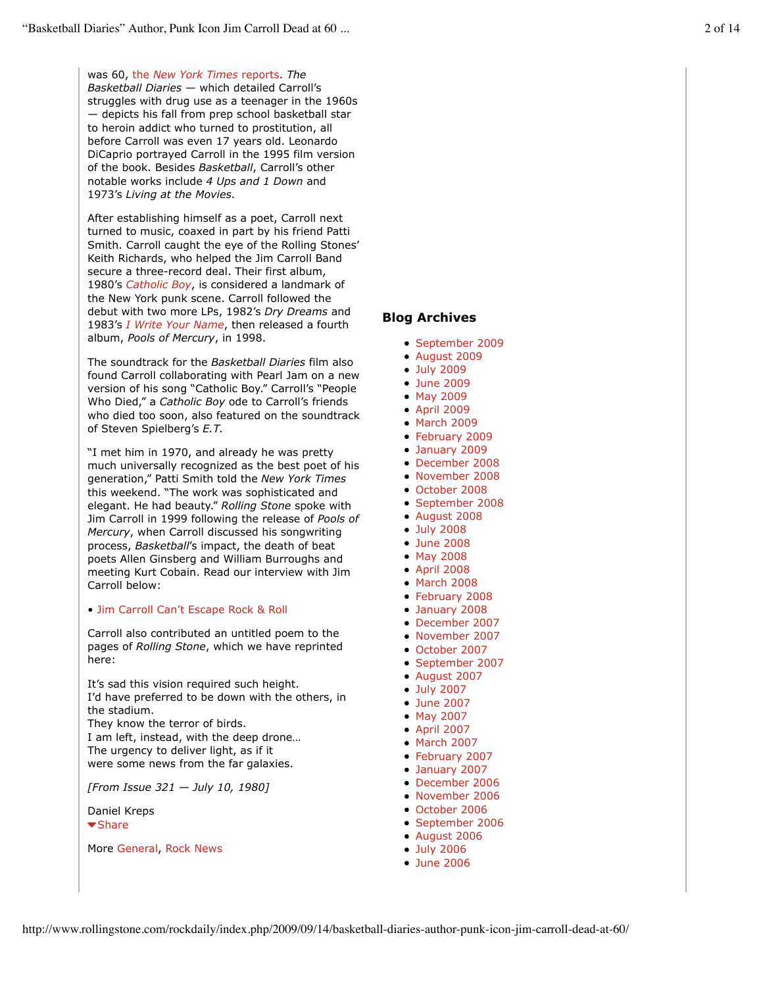was 60, the *New York Times* reports. *The Basketball Diaries* — which detailed Carroll's struggles with drug use as a teenager in the 1960s — depicts his fall from prep school basketball star to heroin addict who turned to prostitution, all before Carroll was even 17 years old. Leonardo DiCaprio portrayed Carroll in the 1995 film version of the book. Besides *Basketball*, Carroll's other notable works include *4 Ups and 1 Down* and 1973's *Living at the Movies*.

After establishing himself as a poet, Carroll next turned to music, coaxed in part by his friend Patti Smith. Carroll caught the eye of the Rolling Stones' Keith Richards, who helped the Jim Carroll Band secure a three-record deal. Their first album, 1980's *Catholic Boy*, is considered a landmark of the New York punk scene. Carroll followed the debut with two more LPs, 1982's *Dry Dreams* and 1983's *I Write Your Name*, then released a fourth album, *Pools of Mercury*, in 1998.

The soundtrack for the *Basketball Diaries* film also found Carroll collaborating with Pearl Jam on a new version of his song "Catholic Boy." Carroll's "People Who Died," a *Catholic Boy* ode to Carroll's friends who died too soon, also featured on the soundtrack of Steven Spielberg's *E.T.*

"I met him in 1970, and already he was pretty much universally recognized as the best poet of his generation," Patti Smith told the *New York Times* this weekend. "The work was sophisticated and elegant. He had beauty." *Rolling Stone* spoke with Jim Carroll in 1999 following the release of *Pools of Mercury*, when Carroll discussed his songwriting process, *Basketball*'s impact, the death of beat poets Allen Ginsberg and William Burroughs and meeting Kurt Cobain. Read our interview with Jim Carroll below:

# • Jim Carroll Can't Escape Rock & Roll

Carroll also contributed an untitled poem to the pages of *Rolling Stone*, which we have reprinted here:

It's sad this vision required such height. I'd have preferred to be down with the others, in the stadium. They know the terror of birds. I am left, instead, with the deep drone… The urgency to deliver light, as if it were some news from the far galaxies.

*[From Issue 321 — July 10, 1980]*

Daniel Kreps  $\blacktriangleright$  Share

#### More General, Rock News

# **Blog Archives**

- September 2009
- August 2009
- July 2009
- June 2009
- May 2009
- April 2009
- March 2009
- February 2009
- January 2009
- December 2008
- November 2008 October 2008
- September 2008
- August 2008
- July 2008
- June 2008
- May 2008
- April 2008
- March 2008
- February 2008
- January 2008
- December 2007
- November 2007
- October 2007
- September 2007
- August 2007
- July 2007
- June 2007
- May 2007
- April 2007
- $\bullet$  March 2007
- February 2007
- January 2007
- December 2006
- November 2006
- October 2006
- September 2006
- August 2006
- July 2006
- **June 2006**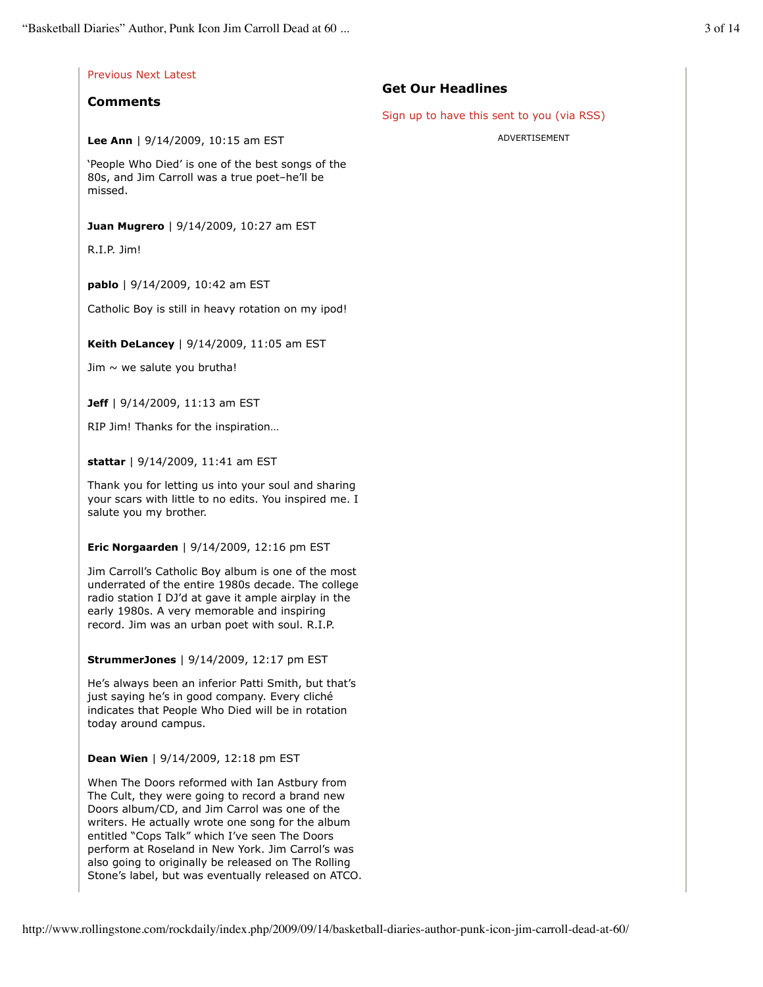|                                                                                                                                                                                                                                                                                                                                                                      | <b>Get Our Headlines</b>                   |
|----------------------------------------------------------------------------------------------------------------------------------------------------------------------------------------------------------------------------------------------------------------------------------------------------------------------------------------------------------------------|--------------------------------------------|
| <b>Comments</b>                                                                                                                                                                                                                                                                                                                                                      | Sign up to have this sent to you (via RSS) |
| Lee Ann   $9/14/2009$ , 10:15 am EST                                                                                                                                                                                                                                                                                                                                 | ADVERTISEMENT                              |
| 'People Who Died' is one of the best songs of the<br>80s, and Jim Carroll was a true poet-he'll be<br>missed.                                                                                                                                                                                                                                                        |                                            |
| Juan Mugrero   9/14/2009, 10:27 am EST                                                                                                                                                                                                                                                                                                                               |                                            |
| R.I.P. Jim!                                                                                                                                                                                                                                                                                                                                                          |                                            |
| pablo   9/14/2009, 10:42 am EST                                                                                                                                                                                                                                                                                                                                      |                                            |
| Catholic Boy is still in heavy rotation on my ipod!                                                                                                                                                                                                                                                                                                                  |                                            |
| Keith DeLancey   9/14/2009, 11:05 am EST                                                                                                                                                                                                                                                                                                                             |                                            |
| Jim $\sim$ we salute you brutha!                                                                                                                                                                                                                                                                                                                                     |                                            |
| <b>Jeff</b>   $9/14/2009$ , 11:13 am EST                                                                                                                                                                                                                                                                                                                             |                                            |
| RIP Jim! Thanks for the inspiration                                                                                                                                                                                                                                                                                                                                  |                                            |
| stattar   9/14/2009, 11:41 am EST                                                                                                                                                                                                                                                                                                                                    |                                            |
| Thank you for letting us into your soul and sharing<br>your scars with little to no edits. You inspired me. I<br>salute you my brother.                                                                                                                                                                                                                              |                                            |
| Eric Norgaarden   9/14/2009, 12:16 pm EST                                                                                                                                                                                                                                                                                                                            |                                            |
| Jim Carroll's Catholic Boy album is one of the most<br>underrated of the entire 1980s decade. The college<br>radio station I DJ'd at gave it ample airplay in the<br>early 1980s. A very memorable and inspiring<br>record. Jim was an urban poet with soul. R.I.P.                                                                                                  |                                            |
| <b>StrummerJones</b>   9/14/2009, 12:17 pm EST                                                                                                                                                                                                                                                                                                                       |                                            |
| He's always been an inferior Patti Smith, but that's<br>just saying he's in good company. Every cliché<br>indicates that People Who Died will be in rotation<br>today around campus.                                                                                                                                                                                 |                                            |
| Dean Wien   9/14/2009, 12:18 pm EST                                                                                                                                                                                                                                                                                                                                  |                                            |
| When The Doors reformed with Ian Astbury from<br>The Cult, they were going to record a brand new<br>Doors album/CD, and Jim Carrol was one of the<br>writers. He actually wrote one song for the album<br>entitled "Cops Talk" which I've seen The Doors<br>perform at Roseland in New York. Jim Carrol's was<br>also going to originally be released on The Rolling |                                            |

Stone's label, but was eventually released on ATCO.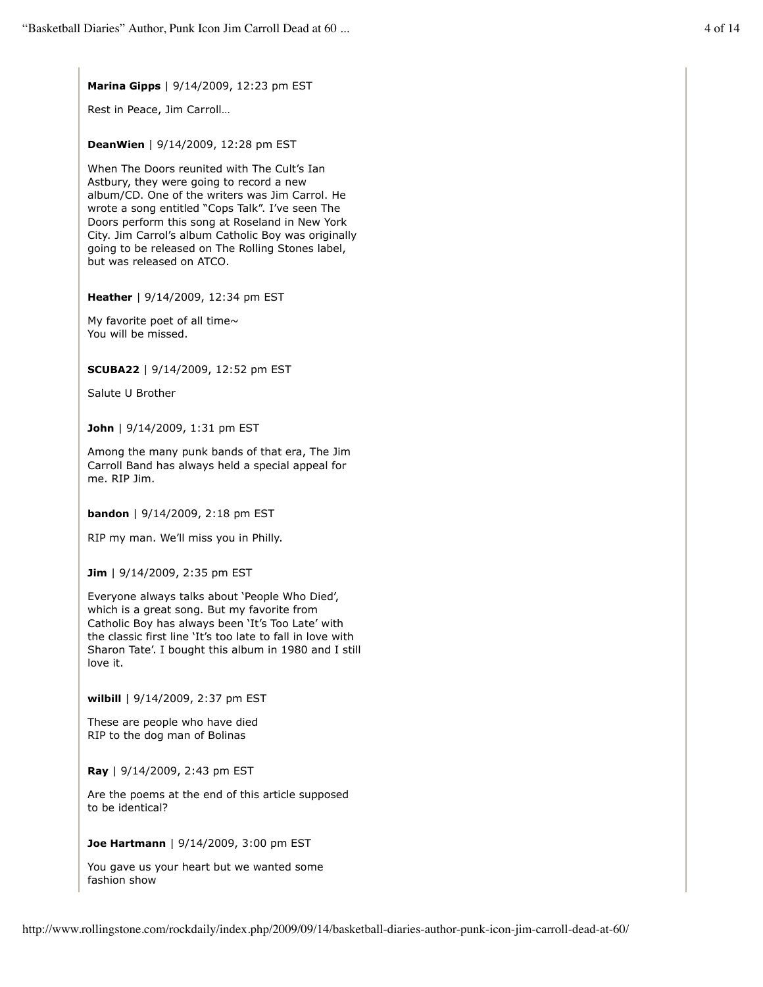**Marina Gipps** | 9/14/2009, 12:23 pm EST

Rest in Peace, Jim Carroll…

**DeanWien** | 9/14/2009, 12:28 pm EST

When The Doors reunited with The Cult's Ian Astbury, they were going to record a new album/CD. One of the writers was Jim Carrol. He wrote a song entitled "Cops Talk". I've seen The Doors perform this song at Roseland in New York City. Jim Carrol's album Catholic Boy was originally going to be released on The Rolling Stones label, but was released on ATCO.

**Heather** | 9/14/2009, 12:34 pm EST

My favorite poet of all time $\sim$ You will be missed.

**SCUBA22** | 9/14/2009, 12:52 pm EST

Salute U Brother

**John** | 9/14/2009, 1:31 pm EST

Among the many punk bands of that era, The Jim Carroll Band has always held a special appeal for me. RIP Jim.

**bandon** | 9/14/2009, 2:18 pm EST

RIP my man. We'll miss you in Philly.

**Jim** | 9/14/2009, 2:35 pm EST

Everyone always talks about 'People Who Died', which is a great song. But my favorite from Catholic Boy has always been 'It's Too Late' with the classic first line 'It's too late to fall in love with Sharon Tate'. I bought this album in 1980 and I still love it.

**wilbill** | 9/14/2009, 2:37 pm EST

These are people who have died RIP to the dog man of Bolinas

**Ray** | 9/14/2009, 2:43 pm EST

Are the poems at the end of this article supposed to be identical?

**Joe Hartmann** | 9/14/2009, 3:00 pm EST

You gave us your heart but we wanted some fashion show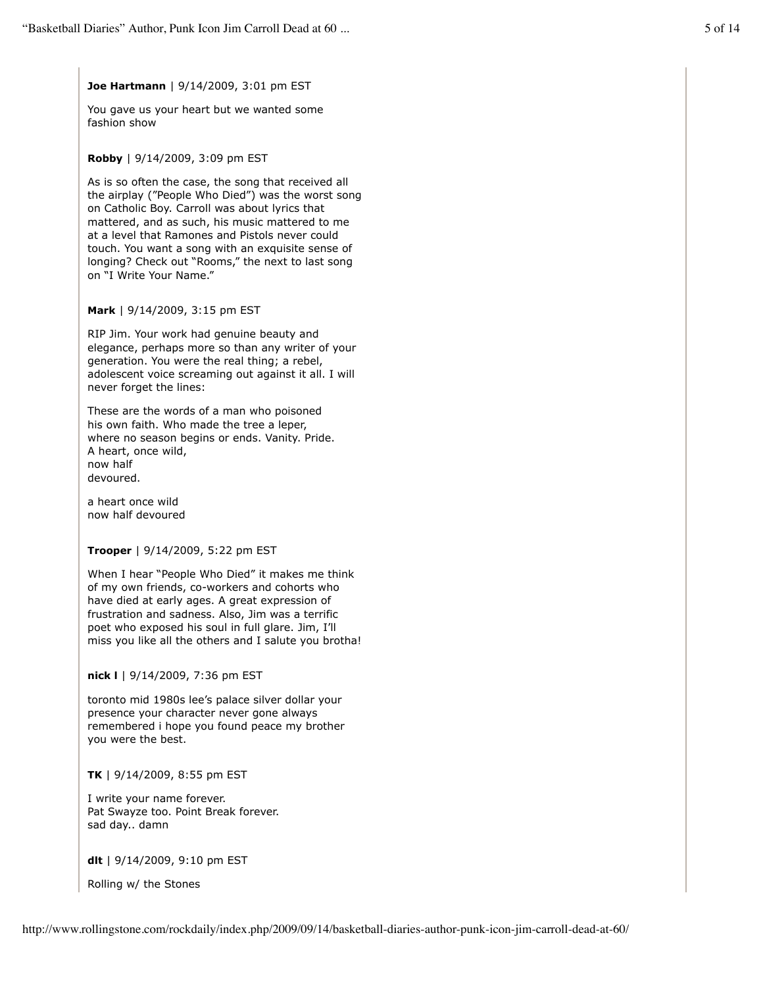# **Joe Hartmann** | 9/14/2009, 3:01 pm EST

You gave us your heart but we wanted some fashion show

#### **Robby** | 9/14/2009, 3:09 pm EST

As is so often the case, the song that received all the airplay ("People Who Died") was the worst song on Catholic Boy. Carroll was about lyrics that mattered, and as such, his music mattered to me at a level that Ramones and Pistols never could touch. You want a song with an exquisite sense of longing? Check out "Rooms," the next to last song on "I Write Your Name."

# **Mark** | 9/14/2009, 3:15 pm EST

RIP Jim. Your work had genuine beauty and elegance, perhaps more so than any writer of your generation. You were the real thing; a rebel, adolescent voice screaming out against it all. I will never forget the lines:

These are the words of a man who poisoned his own faith. Who made the tree a leper, where no season begins or ends. Vanity. Pride. A heart, once wild, now half devoured.

a heart once wild now half devoured

# **Trooper** | 9/14/2009, 5:22 pm EST

When I hear "People Who Died" it makes me think of my own friends, co-workers and cohorts who have died at early ages. A great expression of frustration and sadness. Also, Jim was a terrific poet who exposed his soul in full glare. Jim, I'll miss you like all the others and I salute you brotha!

#### **nick l** | 9/14/2009, 7:36 pm EST

toronto mid 1980s lee's palace silver dollar your presence your character never gone always remembered i hope you found peace my brother you were the best.

#### **TK** | 9/14/2009, 8:55 pm EST

I write your name forever. Pat Swayze too. Point Break forever. sad day.. damn

**dlt** | 9/14/2009, 9:10 pm EST

Rolling w/ the Stones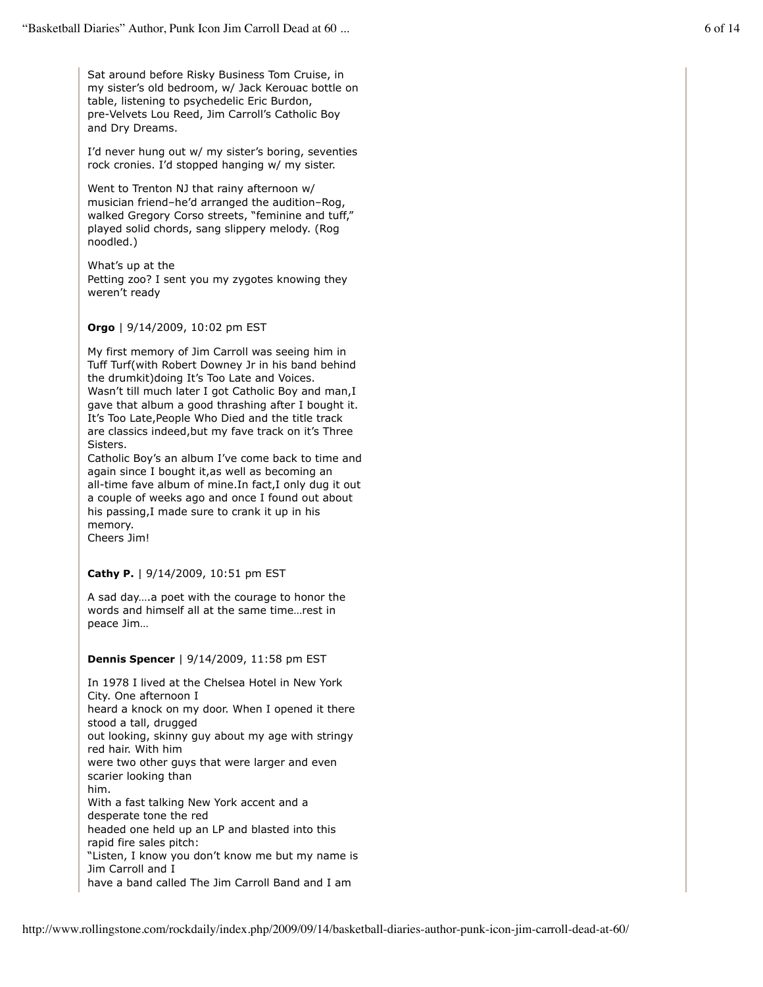Sat around before Risky Business Tom Cruise, in my sister's old bedroom, w/ Jack Kerouac bottle on table, listening to psychedelic Eric Burdon, pre-Velvets Lou Reed, Jim Carroll's Catholic Boy and Dry Dreams.

I'd never hung out w/ my sister's boring, seventies rock cronies. I'd stopped hanging w/ my sister.

Went to Trenton NJ that rainy afternoon w/ musician friend–he'd arranged the audition–Rog, walked Gregory Corso streets, "feminine and tuff," played solid chords, sang slippery melody. (Rog noodled.)

What's up at the Petting zoo? I sent you my zygotes knowing they weren't ready

# **Orgo** | 9/14/2009, 10:02 pm EST

My first memory of Jim Carroll was seeing him in Tuff Turf(with Robert Downey Jr in his band behind the drumkit)doing It's Too Late and Voices. Wasn't till much later I got Catholic Boy and man,I gave that album a good thrashing after I bought it. It's Too Late,People Who Died and the title track are classics indeed,but my fave track on it's Three Sisters.

Catholic Boy's an album I've come back to time and again since I bought it,as well as becoming an all-time fave album of mine.In fact,I only dug it out a couple of weeks ago and once I found out about his passing,I made sure to crank it up in his memory.

Cheers Jim!

# **Cathy P.** | 9/14/2009, 10:51 pm EST

A sad day….a poet with the courage to honor the words and himself all at the same time…rest in peace Jim…

#### **Dennis Spencer** | 9/14/2009, 11:58 pm EST

In 1978 I lived at the Chelsea Hotel in New York City. One afternoon I heard a knock on my door. When I opened it there stood a tall, drugged out looking, skinny guy about my age with stringy red hair. With him were two other guys that were larger and even scarier looking than him. With a fast talking New York accent and a desperate tone the red headed one held up an LP and blasted into this rapid fire sales pitch: "Listen, I know you don't know me but my name is Jim Carroll and I have a band called The Jim Carroll Band and I am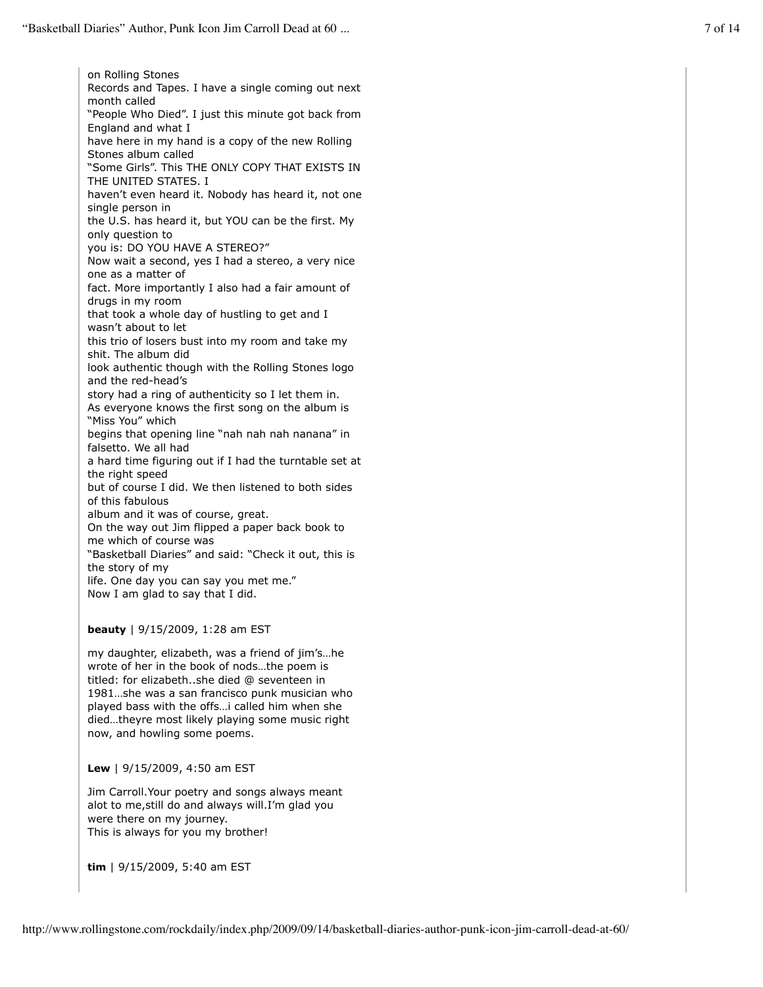on Rolling Stones Records and Tapes. I have a single coming out next month called "People Who Died". I just this minute got back from England and what I have here in my hand is a copy of the new Rolling Stones album called "Some Girls". This THE ONLY COPY THAT EXISTS IN THE UNITED STATES. I haven't even heard it. Nobody has heard it, not one single person in the U.S. has heard it, but YOU can be the first. My only question to you is: DO YOU HAVE A STEREO?" Now wait a second, yes I had a stereo, a very nice one as a matter of fact. More importantly I also had a fair amount of drugs in my room that took a whole day of hustling to get and I wasn't about to let this trio of losers bust into my room and take my shit. The album did look authentic though with the Rolling Stones logo and the red-head's story had a ring of authenticity so I let them in. As everyone knows the first song on the album is "Miss You" which begins that opening line "nah nah nah nanana" in falsetto. We all had a hard time figuring out if I had the turntable set at the right speed but of course I did. We then listened to both sides of this fabulous album and it was of course, great. On the way out Jim flipped a paper back book to me which of course was "Basketball Diaries" and said: "Check it out, this is the story of my life. One day you can say you met me." Now I am glad to say that I did.

**beauty** | 9/15/2009, 1:28 am EST

my daughter, elizabeth, was a friend of jim's…he wrote of her in the book of nods…the poem is titled: for elizabeth..she died @ seventeen in 1981…she was a san francisco punk musician who played bass with the offs…i called him when she died…theyre most likely playing some music right now, and howling some poems.

**Lew** | 9/15/2009, 4:50 am EST

Jim Carroll.Your poetry and songs always meant alot to me,still do and always will.I'm glad you were there on my journey. This is always for you my brother!

**tim** | 9/15/2009, 5:40 am EST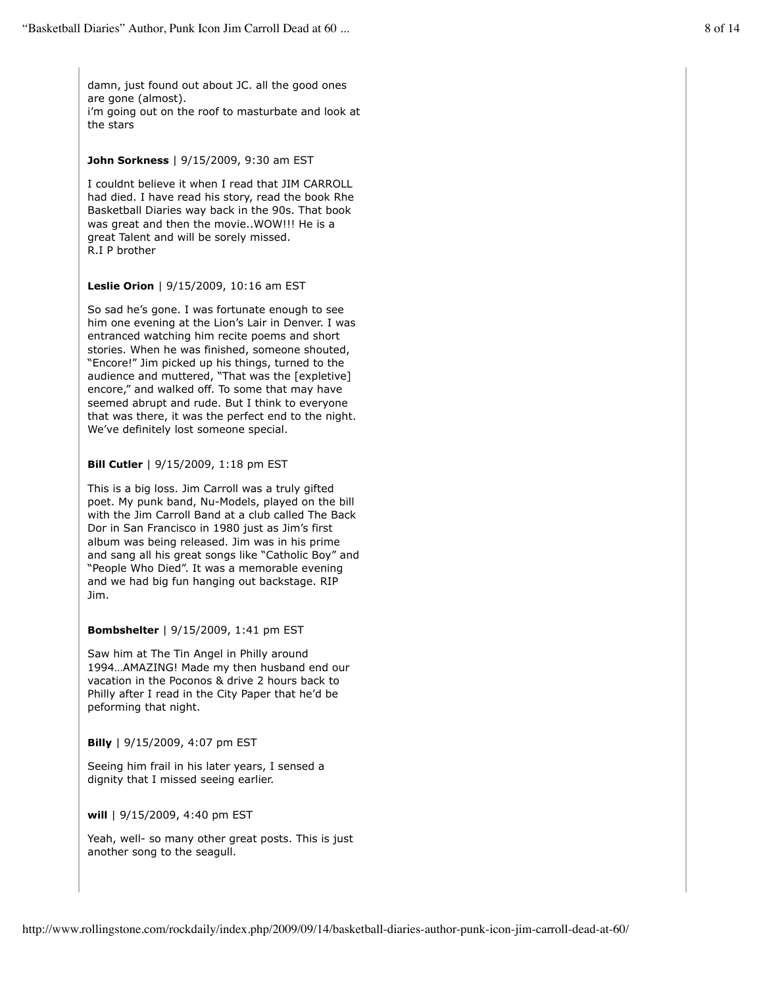damn, just found out about JC. all the good ones are gone (almost). i'm going out on the roof to masturbate and look at the stars

# **John Sorkness** | 9/15/2009, 9:30 am EST

I couldnt believe it when I read that JIM CARROLL had died. I have read his story, read the book Rhe Basketball Diaries way back in the 90s. That book was great and then the movie..WOW!!! He is a great Talent and will be sorely missed. R.I P brother

# **Leslie Orion** | 9/15/2009, 10:16 am EST

So sad he's gone. I was fortunate enough to see him one evening at the Lion's Lair in Denver. I was entranced watching him recite poems and short stories. When he was finished, someone shouted, "Encore!" Jim picked up his things, turned to the audience and muttered, "That was the [expletive] encore," and walked off. To some that may have seemed abrupt and rude. But I think to everyone that was there, it was the perfect end to the night. We've definitely lost someone special.

# **Bill Cutler** | 9/15/2009, 1:18 pm EST

This is a big loss. Jim Carroll was a truly gifted poet. My punk band, Nu-Models, played on the bill with the Jim Carroll Band at a club called The Back Dor in San Francisco in 1980 just as Jim's first album was being released. Jim was in his prime and sang all his great songs like "Catholic Boy" and "People Who Died". It was a memorable evening and we had big fun hanging out backstage. RIP Jim.

#### **Bombshelter** | 9/15/2009, 1:41 pm EST

Saw him at The Tin Angel in Philly around 1994…AMAZING! Made my then husband end our vacation in the Poconos & drive 2 hours back to Philly after I read in the City Paper that he'd be peforming that night.

#### **Billy** | 9/15/2009, 4:07 pm EST

Seeing him frail in his later years, I sensed a dignity that I missed seeing earlier.

**will** | 9/15/2009, 4:40 pm EST

Yeah, well- so many other great posts. This is just another song to the seagull.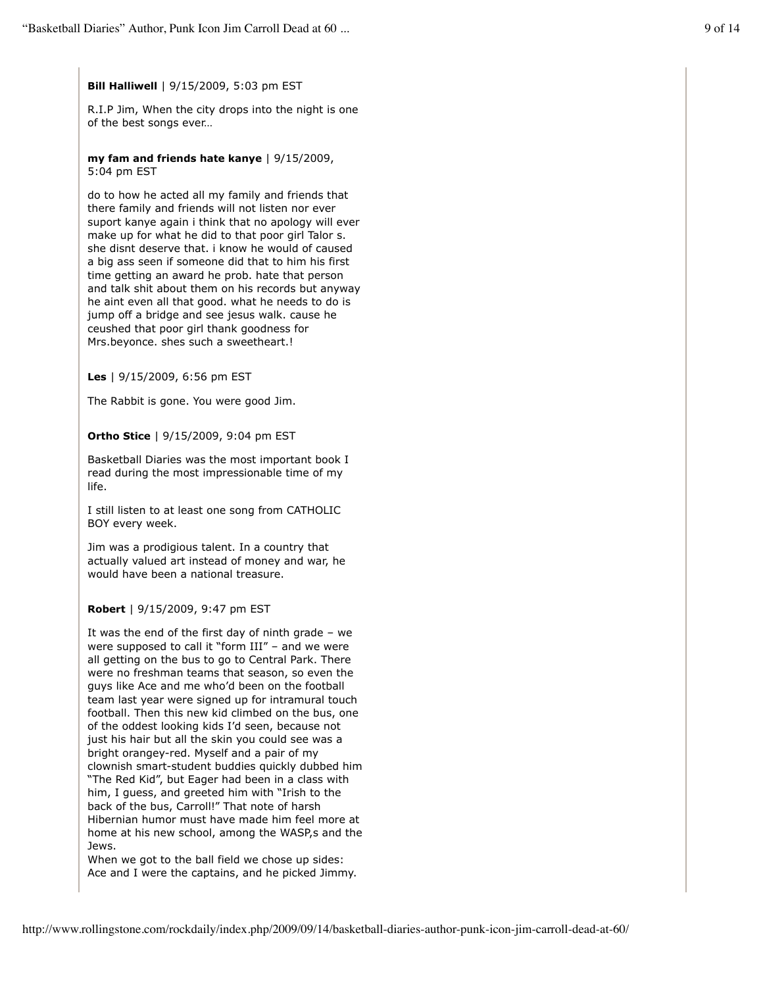# **Bill Halliwell** | 9/15/2009, 5:03 pm EST

R.I.P Jim, When the city drops into the night is one of the best songs ever…

**my fam and friends hate kanye** | 9/15/2009, 5:04 pm EST

do to how he acted all my family and friends that there family and friends will not listen nor ever suport kanye again i think that no apology will ever make up for what he did to that poor girl Talor s. she disnt deserve that. i know he would of caused a big ass seen if someone did that to him his first time getting an award he prob. hate that person and talk shit about them on his records but anyway he aint even all that good. what he needs to do is jump off a bridge and see jesus walk. cause he ceushed that poor girl thank goodness for Mrs.beyonce. shes such a sweetheart.!

**Les** | 9/15/2009, 6:56 pm EST

The Rabbit is gone. You were good Jim.

# **Ortho Stice** | 9/15/2009, 9:04 pm EST

Basketball Diaries was the most important book I read during the most impressionable time of my life.

I still listen to at least one song from CATHOLIC BOY every week.

Jim was a prodigious talent. In a country that actually valued art instead of money and war, he would have been a national treasure.

#### **Robert** | 9/15/2009, 9:47 pm EST

It was the end of the first day of ninth grade – we were supposed to call it "form III" – and we were all getting on the bus to go to Central Park. There were no freshman teams that season, so even the guys like Ace and me who'd been on the football team last year were signed up for intramural touch football. Then this new kid climbed on the bus, one of the oddest looking kids I'd seen, because not just his hair but all the skin you could see was a bright orangey-red. Myself and a pair of my clownish smart-student buddies quickly dubbed him "The Red Kid", but Eager had been in a class with him, I guess, and greeted him with "Irish to the back of the bus, Carroll!" That note of harsh Hibernian humor must have made him feel more at home at his new school, among the WASP,s and the Jews.

When we got to the ball field we chose up sides: Ace and I were the captains, and he picked Jimmy.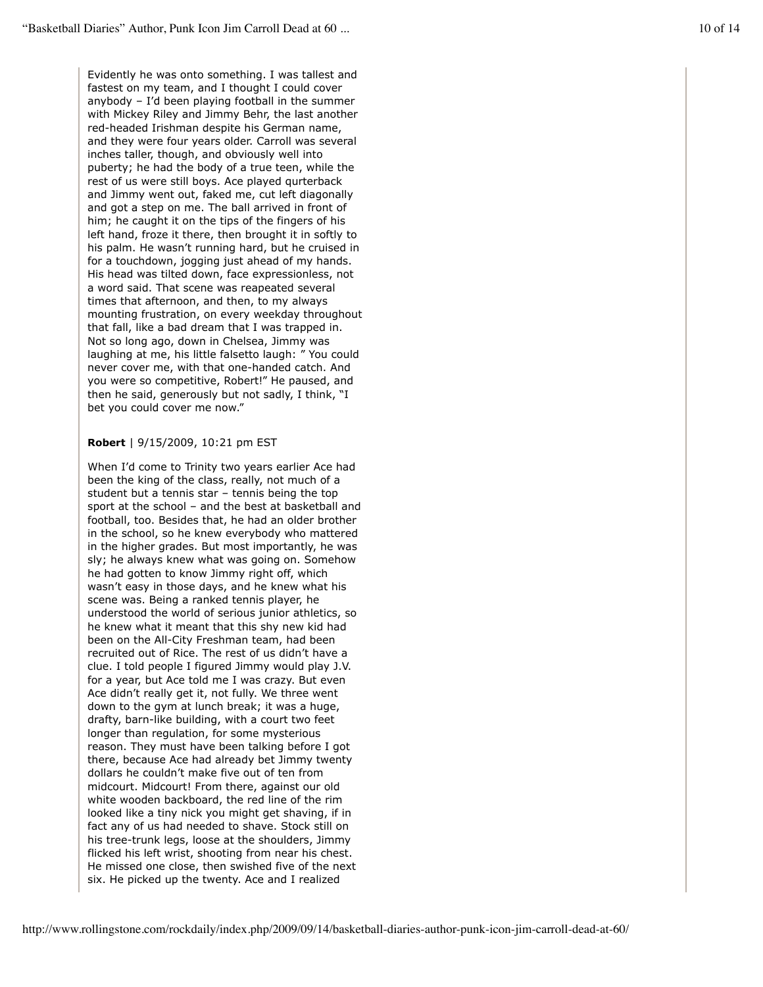Evidently he was onto something. I was tallest and fastest on my team, and I thought I could cover anybody – I'd been playing football in the summer with Mickey Riley and Jimmy Behr, the last another red-headed Irishman despite his German name, and they were four years older. Carroll was several inches taller, though, and obviously well into puberty; he had the body of a true teen, while the rest of us were still boys. Ace played qurterback and Jimmy went out, faked me, cut left diagonally and got a step on me. The ball arrived in front of him; he caught it on the tips of the fingers of his left hand, froze it there, then brought it in softly to his palm. He wasn't running hard, but he cruised in for a touchdown, jogging just ahead of my hands. His head was tilted down, face expressionless, not a word said. That scene was reapeated several times that afternoon, and then, to my always mounting frustration, on every weekday throughout that fall, like a bad dream that I was trapped in. Not so long ago, down in Chelsea, Jimmy was laughing at me, his little falsetto laugh: " You could never cover me, with that one-handed catch. And you were so competitive, Robert!" He paused, and then he said, generously but not sadly, I think, "I bet you could cover me now."

#### **Robert** | 9/15/2009, 10:21 pm EST

When I'd come to Trinity two years earlier Ace had been the king of the class, really, not much of a student but a tennis star – tennis being the top sport at the school – and the best at basketball and football, too. Besides that, he had an older brother in the school, so he knew everybody who mattered in the higher grades. But most importantly, he was sly; he always knew what was going on. Somehow he had gotten to know Jimmy right off, which wasn't easy in those days, and he knew what his scene was. Being a ranked tennis player, he understood the world of serious junior athletics, so he knew what it meant that this shy new kid had been on the All-City Freshman team, had been recruited out of Rice. The rest of us didn't have a clue. I told people I figured Jimmy would play J.V. for a year, but Ace told me I was crazy. But even Ace didn't really get it, not fully. We three went down to the gym at lunch break; it was a huge, drafty, barn-like building, with a court two feet longer than regulation, for some mysterious reason. They must have been talking before I got there, because Ace had already bet Jimmy twenty dollars he couldn't make five out of ten from midcourt. Midcourt! From there, against our old white wooden backboard, the red line of the rim looked like a tiny nick you might get shaving, if in fact any of us had needed to shave. Stock still on his tree-trunk legs, loose at the shoulders, Jimmy flicked his left wrist, shooting from near his chest. He missed one close, then swished five of the next six. He picked up the twenty. Ace and I realized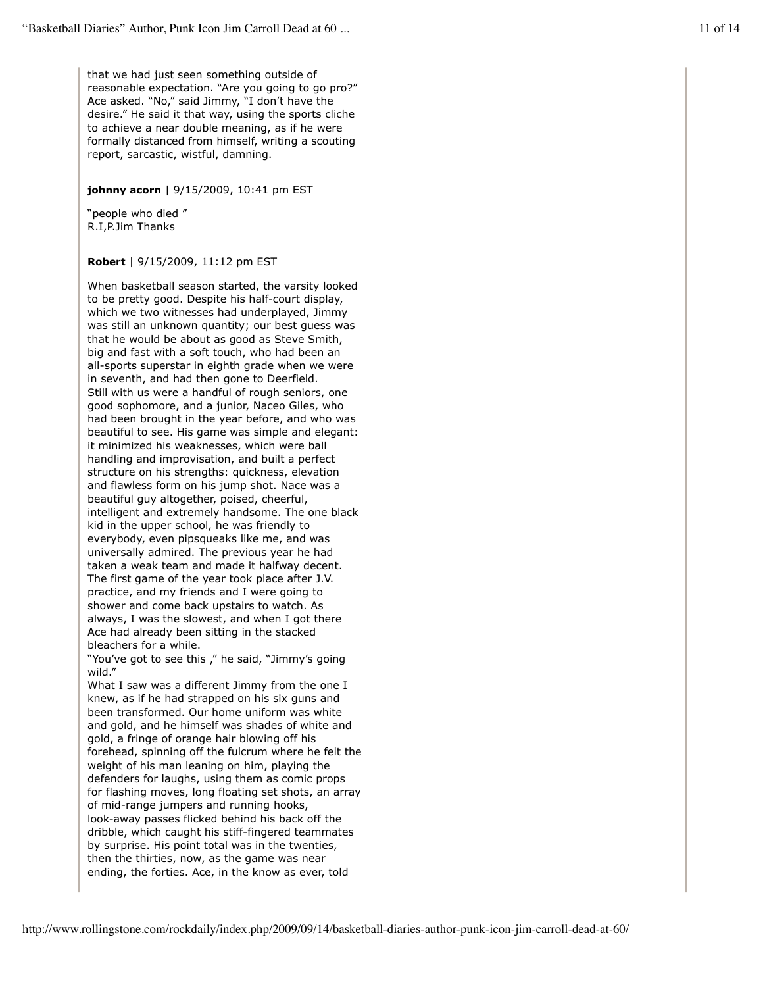that we had just seen something outside of reasonable expectation. "Are you going to go pro?" Ace asked. "No," said Jimmy, "I don't have the desire." He said it that way, using the sports cliche to achieve a near double meaning, as if he were formally distanced from himself, writing a scouting report, sarcastic, wistful, damning.

# **johnny acorn** | 9/15/2009, 10:41 pm EST

"people who died " R.I,P.Jim Thanks

# **Robert** | 9/15/2009, 11:12 pm EST

When basketball season started, the varsity looked to be pretty good. Despite his half-court display, which we two witnesses had underplayed, Jimmy was still an unknown quantity; our best guess was that he would be about as good as Steve Smith, big and fast with a soft touch, who had been an all-sports superstar in eighth grade when we were in seventh, and had then gone to Deerfield. Still with us were a handful of rough seniors, one good sophomore, and a junior, Naceo Giles, who had been brought in the year before, and who was beautiful to see. His game was simple and elegant: it minimized his weaknesses, which were ball handling and improvisation, and built a perfect structure on his strengths: quickness, elevation and flawless form on his jump shot. Nace was a beautiful guy altogether, poised, cheerful, intelligent and extremely handsome. The one black kid in the upper school, he was friendly to everybody, even pipsqueaks like me, and was universally admired. The previous year he had taken a weak team and made it halfway decent. The first game of the year took place after J.V. practice, and my friends and I were going to shower and come back upstairs to watch. As always, I was the slowest, and when I got there Ace had already been sitting in the stacked bleachers for a while.

"You've got to see this ," he said, "Jimmy's going wild."

What I saw was a different Jimmy from the one I knew, as if he had strapped on his six guns and been transformed. Our home uniform was white and gold, and he himself was shades of white and gold, a fringe of orange hair blowing off his forehead, spinning off the fulcrum where he felt the weight of his man leaning on him, playing the defenders for laughs, using them as comic props for flashing moves, long floating set shots, an array of mid-range jumpers and running hooks, look-away passes flicked behind his back off the dribble, which caught his stiff-fingered teammates by surprise. His point total was in the twenties, then the thirties, now, as the game was near ending, the forties. Ace, in the know as ever, told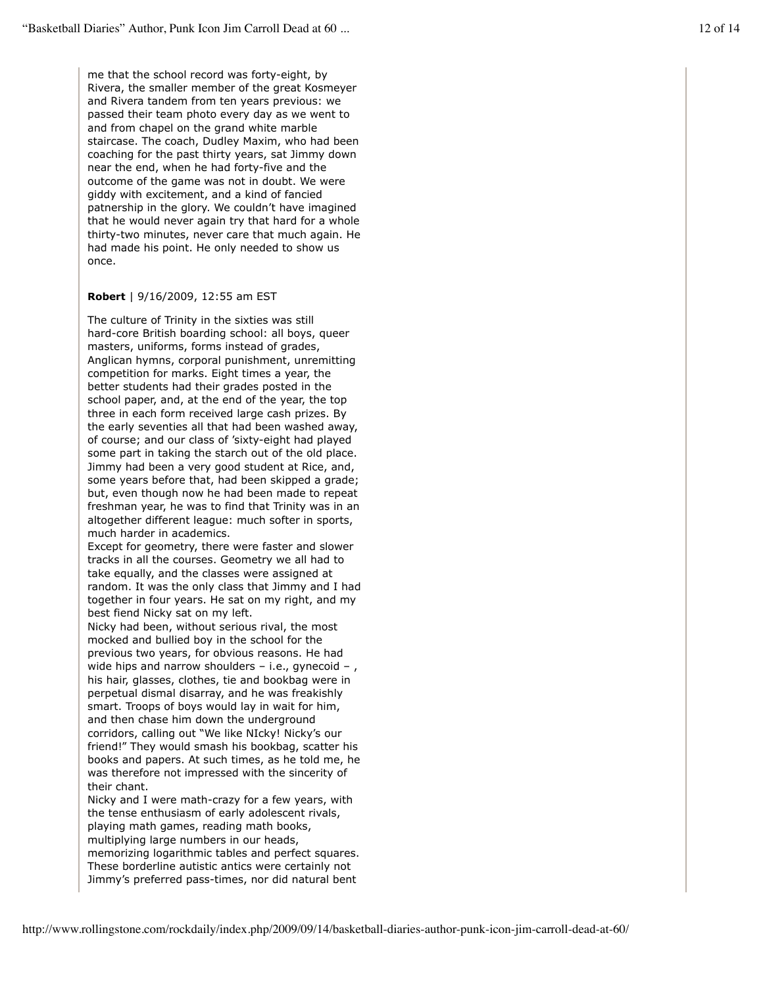me that the school record was forty-eight, by Rivera, the smaller member of the great Kosmeyer and Rivera tandem from ten years previous: we passed their team photo every day as we went to and from chapel on the grand white marble staircase. The coach, Dudley Maxim, who had been coaching for the past thirty years, sat Jimmy down near the end, when he had forty-five and the outcome of the game was not in doubt. We were giddy with excitement, and a kind of fancied patnership in the glory. We couldn't have imagined that he would never again try that hard for a whole thirty-two minutes, never care that much again. He had made his point. He only needed to show us once.

## **Robert** | 9/16/2009, 12:55 am EST

The culture of Trinity in the sixties was still hard-core British boarding school: all boys, queer masters, uniforms, forms instead of grades, Anglican hymns, corporal punishment, unremitting competition for marks. Eight times a year, the better students had their grades posted in the school paper, and, at the end of the year, the top three in each form received large cash prizes. By the early seventies all that had been washed away, of course; and our class of 'sixty-eight had played some part in taking the starch out of the old place. Jimmy had been a very good student at Rice, and, some years before that, had been skipped a grade; but, even though now he had been made to repeat freshman year, he was to find that Trinity was in an altogether different league: much softer in sports, much harder in academics.

Except for geometry, there were faster and slower tracks in all the courses. Geometry we all had to take equally, and the classes were assigned at random. It was the only class that Jimmy and I had together in four years. He sat on my right, and my best fiend Nicky sat on my left.

Nicky had been, without serious rival, the most mocked and bullied boy in the school for the previous two years, for obvious reasons. He had wide hips and narrow shoulders  $-$  i.e., gynecoid  $-$  , his hair, glasses, clothes, tie and bookbag were in perpetual dismal disarray, and he was freakishly smart. Troops of boys would lay in wait for him, and then chase him down the underground corridors, calling out "We like NIcky! Nicky's our friend!" They would smash his bookbag, scatter his books and papers. At such times, as he told me, he was therefore not impressed with the sincerity of their chant.

Nicky and I were math-crazy for a few years, with the tense enthusiasm of early adolescent rivals, playing math games, reading math books, multiplying large numbers in our heads, memorizing logarithmic tables and perfect squares. These borderline autistic antics were certainly not Jimmy's preferred pass-times, nor did natural bent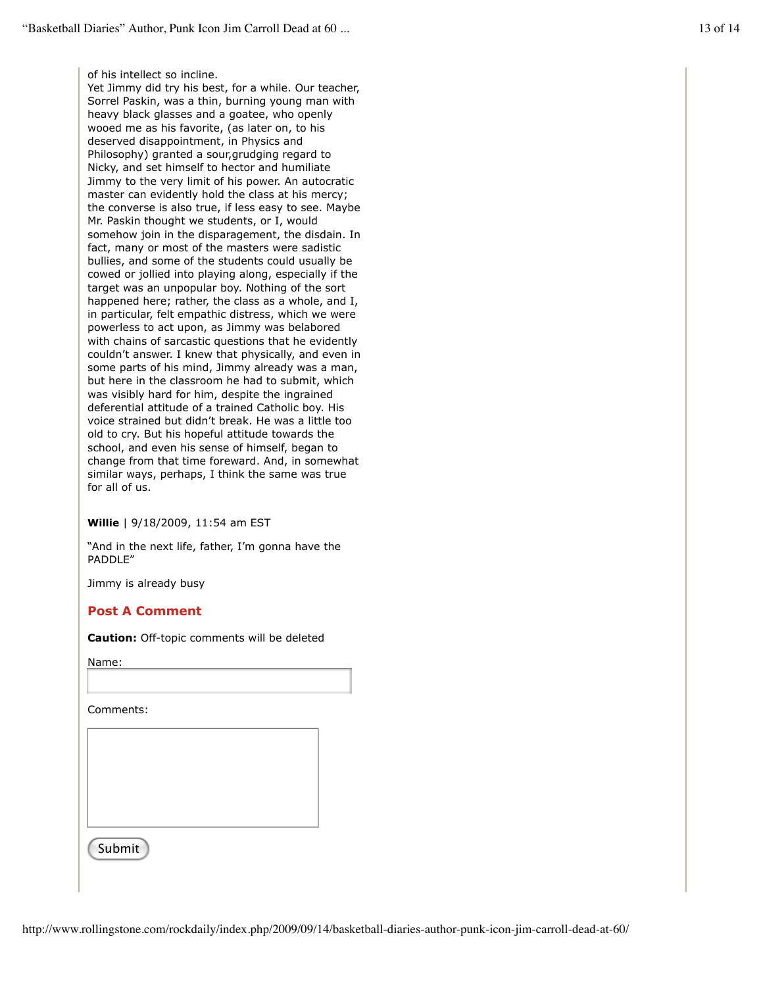of his intellect so incline.

Yet Jimmy did try his best, for a while. Our teacher, Sorrel Paskin, was a thin, burning young man with heavy black glasses and a goatee, who openly wooed me as his favorite, (as later on, to his deserved disappointment, in Physics and Philosophy) granted a sour,grudging regard to Nicky, and set himself to hector and humiliate Jimmy to the very limit of his power. An autocratic master can evidently hold the class at his mercy; the converse is also true, if less easy to see. Maybe Mr. Paskin thought we students, or I, would somehow join in the disparagement, the disdain. In fact, many or most of the masters were sadistic bullies, and some of the students could usually be cowed or jollied into playing along, especially if the target was an unpopular boy. Nothing of the sort happened here; rather, the class as a whole, and I, in particular, felt empathic distress, which we were powerless to act upon, as Jimmy was belabored with chains of sarcastic questions that he evidently couldn't answer. I knew that physically, and even in some parts of his mind, Jimmy already was a man, but here in the classroom he had to submit, which was visibly hard for him, despite the ingrained deferential attitude of a trained Catholic boy. His voice strained but didn't break. He was a little too old to cry. But his hopeful attitude towards the school, and even his sense of himself, began to change from that time foreward. And, in somewhat similar ways, perhaps, I think the same was true for all of us.

**Willie** | 9/18/2009, 11:54 am EST

"And in the next life, father, I'm gonna have the PADDLE"

Jimmy is already busy

# **Post A Comment**

**Caution:** Off-topic comments will be deleted

Name:

Comments:

Submit